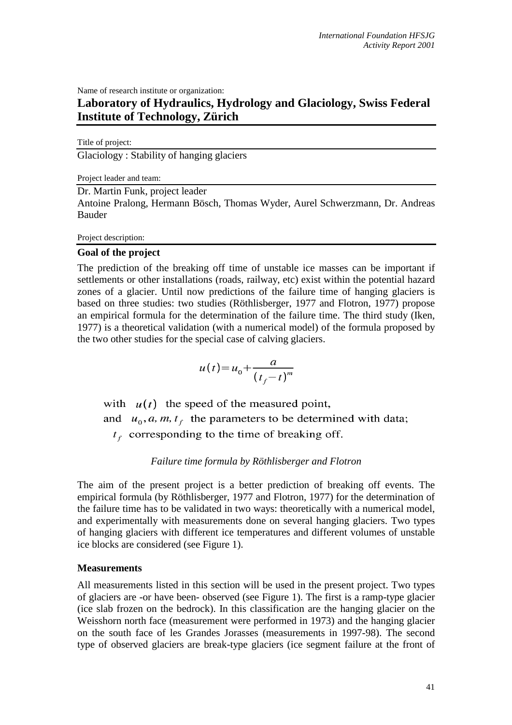Name of research institute or organization:

# **Laboratory of Hydraulics, Hydrology and Glaciology, Swiss Federal Institute of Technology, Zürich**

Title of project:

Glaciology : Stability of hanging glaciers

Project leader and team:

Dr. Martin Funk, project leader

Antoine Pralong, Hermann Bösch, Thomas Wyder, Aurel Schwerzmann, Dr. Andreas Bauder

Project description:

### **Goal of the project**

The prediction of the breaking off time of unstable ice masses can be important if settlements or other installations (roads, railway, etc) exist within the potential hazard zones of a glacier. Until now predictions of the failure time of hanging glaciers is based on three studies: two studies (Röthlisberger, 1977 and Flotron, 1977) propose an empirical formula for the determination of the failure time. The third study (Iken, 1977) is a theoretical validation (with a numerical model) of the formula proposed by the two other studies for the special case of calving glaciers.

$$
u(t) = u_0 + \frac{a}{(t_f - t)^m}
$$

with  $u(t)$  the speed of the measured point, and  $u_0$ , a, m,  $t_f$  the parameters to be determined with data;  $t_f$  corresponding to the time of breaking off.

## *Failure time formula by Röthlisberger and Flotron*

The aim of the present project is a better prediction of breaking off events. The empirical formula (by Röthlisberger, 1977 and Flotron, 1977) for the determination of the failure time has to be validated in two ways: theoretically with a numerical model, and experimentally with measurements done on several hanging glaciers. Two types of hanging glaciers with different ice temperatures and different volumes of unstable ice blocks are considered (see Figure 1).

### **Measurements**

All measurements listed in this section will be used in the present project. Two types of glaciers are -or have been- observed (see Figure 1). The first is a ramp-type glacier (ice slab frozen on the bedrock). In this classification are the hanging glacier on the Weisshorn north face (measurement were performed in 1973) and the hanging glacier on the south face of les Grandes Jorasses (measurements in 1997-98). The second type of observed glaciers are break-type glaciers (ice segment failure at the front of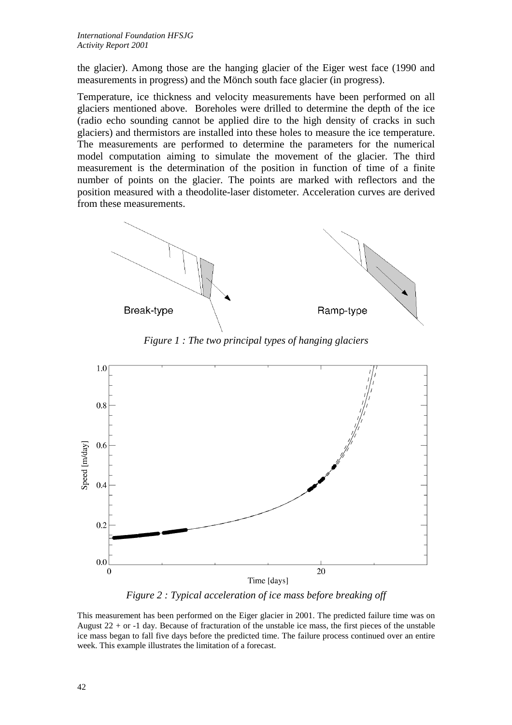the glacier). Among those are the hanging glacier of the Eiger west face (1990 and measurements in progress) and the Mönch south face glacier (in progress).

Temperature, ice thickness and velocity measurements have been performed on all glaciers mentioned above. Boreholes were drilled to determine the depth of the ice (radio echo sounding cannot be applied dire to the high density of cracks in such glaciers) and thermistors are installed into these holes to measure the ice temperature. The measurements are performed to determine the parameters for the numerical model computation aiming to simulate the movement of the glacier. The third measurement is the determination of the position in function of time of a finite number of points on the glacier. The points are marked with reflectors and the position measured with a theodolite-laser distometer. Acceleration curves are derived from these measurements.





*Figure 1 : The two principal types of hanging glaciers* 

*Figure 2 : Typical acceleration of ice mass before breaking off* 

This measurement has been performed on the Eiger glacier in 2001. The predicted failure time was on August  $22 +$  or  $-1$  day. Because of fracturation of the unstable ice mass, the first pieces of the unstable ice mass began to fall five days before the predicted time. The failure process continued over an entire week. This example illustrates the limitation of a forecast.